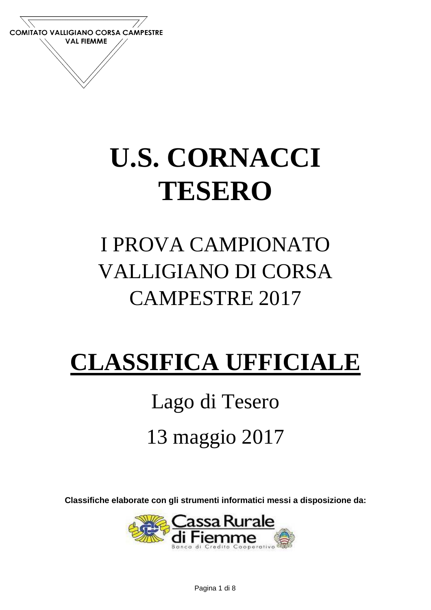

## **U.S. CORNACCI TESERO**

## I PROVA CAMPIONATO VALLIGIANO DI CORSA CAMPESTRE 2017

## **CLASSIFICA UFFICIALE**

## Lago di Tesero 13 maggio 2017

**Classifiche elaborate con gli strumenti informatici messi a disposizione da:**

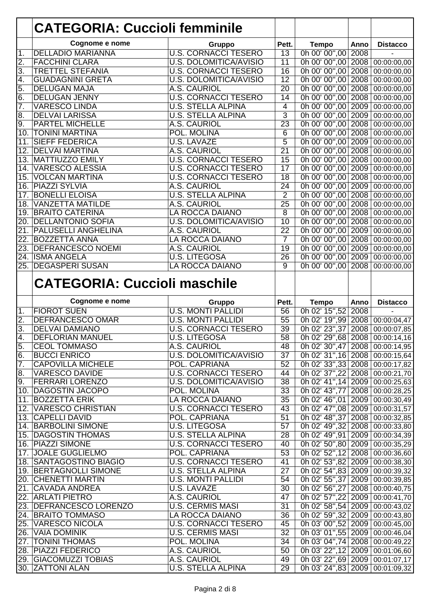|                   | <b>CATEGORIA: Cuccioli femminile</b> |                               |                 |                                                                  |      |                          |
|-------------------|--------------------------------------|-------------------------------|-----------------|------------------------------------------------------------------|------|--------------------------|
|                   | Cognome e nome                       | Gruppo                        | Pett.           | <b>Tempo</b>                                                     | Anno | <b>Distacco</b>          |
| 1.                | <b>DELLADIO MARIANNA</b>             | <b>U.S. CORNACCI TESERO</b>   | $\overline{13}$ | 0h 00' 00",00                                                    | 2008 |                          |
| $\overline{2}$ .  | <b>FACCHINI CLARA</b>                | <b>U.S. DOLOMITICA/AVISIO</b> | $\overline{11}$ | 0h 00' 00",00                                                    |      | 2008 00:00:00,00         |
| $\overline{3}$ .  | <b>TRETTEL STEFANIA</b>              | <b>U.S. CORNACCI TESERO</b>   | $\overline{16}$ | 0h 00' 00",00                                                    | 2008 | 00:00:00,00              |
| 4.                | <b>GUADAGNINI GRETA</b>              | <b>U.S. DOLOMITICA/AVISIO</b> | $\overline{12}$ | 0h 00' 00",00                                                    | 2008 | $\overline{00:00:00,00}$ |
| 5.                | <b>DELUGAN MAJA</b>                  | A.S. CAURIOL                  | $\overline{20}$ | 0h 00' 00",00                                                    | 2008 | 00:00:00,00              |
| 6.                | <b>DELUGAN JENNY</b>                 | <b>U.S. CORNACCI TESERO</b>   | $\overline{14}$ | 0h 00' 00",00                                                    | 2008 | 00:00:00,00              |
| 7.                | <b>VARESCO LINDA</b>                 | <b>U.S. STELLA ALPINA</b>     | $\overline{4}$  | 0h 00' 00",00                                                    | 2009 | 00:00:00,00              |
| 8.                | <b>DELVAI LARISSA</b>                | <b>U.S. STELLA ALPINA</b>     | 3               | Oh 00' 00",00                                                    | 2009 | 00:00:00,00              |
| $\overline{9}$ .  | <b>PARTEL MICHELLE</b>               | A.S. CAURIOL                  | 23              | 0h 00' 00",00                                                    | 2008 | 00:00:00,00              |
| 10.               | <b>TONINI MARTINA</b>                | POL. MOLINA                   | 6               | 0h 00' 00",00                                                    | 2008 | 00:00:00,00              |
| 11.               | <b>SIEFF FEDERICA</b>                | <b>U.S. LAVAZÉ</b>            | $\overline{5}$  | 0h 00' 00",00                                                    | 2009 | 00:00:00,00              |
| 12.               | <b>DELVAI MARTINA</b>                | A.S. CAURIOL                  | $\overline{21}$ | 0h 00' 00",00                                                    | 2008 | 00:00:00,00              |
| 13.               | <b>MATTIUZZO EMILY</b>               | <b>U.S. CORNACCI TESERO</b>   | 15              | 0h 00' 00",00                                                    | 2008 | 00:00:00,00              |
| 14.               | <b>VARESCO ALESSIA</b>               | <b>U.S. CORNACCI TESERO</b>   | $\overline{17}$ | 0h 00' 00",00                                                    | 2009 | 00:00:00,00              |
| 15.               | <b>VOLCAN MARTINA</b>                | <b>U.S. CORNACCI TESERO</b>   | $\overline{18}$ | 0h 00' 00",00                                                    | 2008 | 00:00:00,00              |
| 16.               | <b>PIAZZI SYLVIA</b>                 | A.S. CAURIOL                  | $\overline{24}$ | 0h 00' 00",00                                                    | 2009 | 00:00:00,00              |
| 17.               | <b>BONELLI ELOISA</b>                | <b>U.S. STELLA ALPINA</b>     | $\overline{2}$  | 0h 00' 00",00                                                    | 2008 | 00:00:00,00              |
| 18.               | <b>VANZETTA MATILDE</b>              | A.S. CAURIOL                  | $\overline{25}$ | 0h 00' 00",00                                                    | 2008 | 00:00:00,00              |
| 19.               | <b>BRAITO CATERINA</b>               | LA ROCCA DAIANO               | 8               | 0h 00' 00",00                                                    | 2008 | 00:00:00,00              |
| 20.               | <b>DELLANTONIO SOFIA</b>             | <b>U.S. DOLOMITICA/AVISIO</b> | $\overline{10}$ | 0h 00' 00",00                                                    | 2008 | 00:00:00,00              |
| 21.               | <b>PALUSELLI ANGHELINA</b>           | A.S. CAURIOL                  | 22              | 0h 00' 00",00                                                    | 2009 | 00:00:00,00              |
| $\overline{22}$ . | <b>BOZZETTA ANNA</b>                 | <b>LA ROCCA DAIANO</b>        | $\overline{7}$  | 0h 00' 00",00                                                    | 2008 | 00:00:00,00              |
| $\overline{23}$ . | <b>DEFRANCESCO NOEMI</b>             | A.S. CAURIOL                  | $\overline{19}$ | 0h 00' 00",00                                                    | 2009 | 00:00:00,00              |
| 24.               | <b>ISMA ANGELA</b>                   | <b>U.S. LITEGOSA</b>          | $\overline{26}$ | 0h 00' 00",00                                                    | 2009 | 00:00:00,00              |
| $\overline{25}$ . | <b>DEGASPERI SUSAN</b>               | <b>LA ROCCA DAIANO</b>        | $\overline{9}$  | 0h 00' 00",00                                                    | 2008 | 00:00:00,00              |
|                   | <b>CATEGORIA: Cuccioli maschile</b>  |                               |                 |                                                                  |      |                          |
|                   |                                      |                               |                 |                                                                  |      |                          |
|                   | Cognome e nome                       | Gruppo                        | Pett.           | <b>Tempo</b>                                                     | Anno | <b>Distacco</b>          |
| 1.                | <b>FIOROT SUEN</b>                   | <b>U.S. MONTI PALLIDI</b>     | 56              | 0h 02' 15",52                                                    | 2008 |                          |
| $\overline{2}$ .  | <b>DEFRANCESCO OMAR</b>              | <b>U.S. MONTI PALLIDI</b>     | 55              | 0h 02' 19",99                                                    | 2008 | 00:00:04,47              |
| 3.                | <b>DELVAI DAMIANO</b>                | <b>U.S. CORNACCI TESERO</b>   | 39              | 0h 02' 23", 37                                                   | 2008 | 00:00:07,85              |
| $\overline{4}$    | <b>DEFLORIAN MANUEL</b>              | <b>U.S. LITEGOSA</b>          | 58              | 0h 02' 29",68                                                    |      |                          |
| 5.                | <b>CEOL TOMMASO</b>                  | A.S. CAURIOL                  | 48              | 0h 02' 30",47 2008 00:00:14,95                                   |      |                          |
| 6.                | <b>BUCCI ENRICO</b>                  | U.S. DOLOMITICA/AVISIO        | 37              | 0h 02' 31", 16 2008 00:00:15, 64                                 |      |                          |
| $\overline{7}$ .  | <b>CAPOVILLA MICHELE</b>             | POL. CAPRIANA                 | 52              | 0h 02' 33", 33 2008 00:00:17,82                                  |      |                          |
| 8.                | <b>VARESCO DAVIDE</b>                | <b>U.S. CORNACCI TESERO</b>   | 44              | 0h 02' 37",22 2008 00:00:21,70                                   |      | 2008 00:00:14,16         |
| 9.                | <b>FERRARI LORENZO</b>               | U.S. DOLOMITICA/AVISIO        | $\overline{38}$ | 0h 02' 41",14 2009 00:00:25,63                                   |      |                          |
|                   | 10. DAGOSTIN JACOPO                  | POL. MOLINA                   | 33              | 0h 02' 43",77 2008 00:00:28,25                                   |      |                          |
|                   | 11. BOZZETTA ERIK                    | LA ROCCA DAIANO               | 35              | 0h 02' 46",01 2009 00:00:30,49                                   |      |                          |
| 12.               | <b>VARESCO CHRISTIAN</b>             | <b>U.S. CORNACCI TESERO</b>   | 43              | 0h 02' 47",08 2009 00:00:31,57                                   |      |                          |
|                   | 13. CAPELLI DAVID                    | POL. CAPRIANA                 | 51              | 0h 02' 48", 37 2008 00:00:32, 85                                 |      |                          |
|                   | 14. BARBOLINI SIMONE                 | <b>U.S. LITEGOSA</b>          | 57              | 0h 02' 49",32 2008 00:00:33,80                                   |      |                          |
|                   | <b>15. DAGOSTIN THOMAS</b>           | <b>U.S. STELLA ALPINA</b>     | $\overline{28}$ | 0h 02' 49",91 2009 00:00:34,39                                   |      |                          |
|                   | 16. PIAZZI SIMONE                    | <b>U.S. CORNACCI TESERO</b>   | 40              | 0h 02' 50",80 2009 00:00:35,29                                   |      |                          |
|                   | 17. JOALE GUGLIELMO                  | POL. CAPRIANA                 | 53              | 0h 02' 52",12 2008 00:00:36,60                                   |      |                          |
|                   | 18. SANTAGOSTINO BIAGIO              | <b>U.S. CORNACCI TESERO</b>   | 41              |                                                                  |      |                          |
|                   | 19. BERTAGNOLLI SIMONE               | <b>U.S. STELLA ALPINA</b>     | $\overline{27}$ | 0h 02' 53",82 2009 00:00:38,30<br>0h 02' 54",83 2009 00:00:39,32 |      |                          |
|                   | 20. CHENETTI MARTIN                  | <b>U.S. MONTI PALLIDI</b>     | 54              |                                                                  |      |                          |
|                   | 21. CAVADA ANDREA                    | U.S. LAVAZE                   | $\overline{30}$ | 0h 02' 55",37 2009 00:00:39,85<br>0h 02' 56", 27                 |      | 2008 00:00:40,75         |
|                   | 22. ARLATI PIETRO                    | A.S. CAURIOL                  | 47              | 0h 02' 57",22 2009 00:00:41,70                                   |      |                          |
|                   | 23. DEFRANCESCO LORENZO              | <b>U.S. CERMIS MASI</b>       | 31              | 0h 02' 58",54 2009 00:00:43,02                                   |      |                          |
|                   | 24. BRAITO TOMMASO                   | LA ROCCA DAIANO               | $\overline{36}$ | 0h 02' 59",32 2009 00:00:43,80                                   |      |                          |
|                   | 25. VARESCO NICOLA                   | <b>U.S. CORNACCI TESERO</b>   | 45              | 0h 03' 00",52 2009 00:00:45,00                                   |      |                          |
|                   | 26. VAIA DOMINIK                     | <b>U.S. CERMIS MASI</b>       | 32              | 0h 03' 01",55 2009 00:00:46,04                                   |      |                          |
| 27.               | <b>TONINI THOMAS</b>                 | POL. MOLINA                   | 34              | 0h 03' 04",74 2008 00:00:49,22                                   |      |                          |
|                   | 28. PIAZZI FEDERICO                  | A.S. CAURIOL                  | 50              | 0h 03' 22",12 2009 00:01:06,60                                   |      |                          |
|                   | 29. GIACOMUZZI TOBIAS                | A.S. CAURIOL                  | 49              | 0h 03' 22",69 2009 00:01:07,17                                   |      |                          |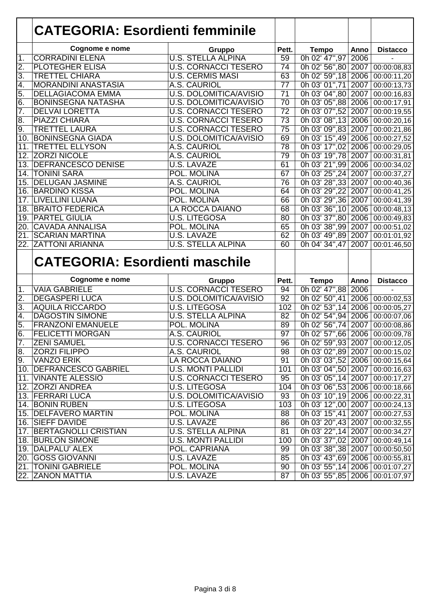|                         | <b>CATEGORIA: Esordienti femminile</b> |                               |                 |                                  |      |                          |
|-------------------------|----------------------------------------|-------------------------------|-----------------|----------------------------------|------|--------------------------|
|                         | Cognome e nome                         | Gruppo                        | Pett.           | <b>Tempo</b>                     | Anno | <b>Distacco</b>          |
| 1.                      | <b>CORRADINI ELENA</b>                 | <b>U.S. STELLA ALPINA</b>     | $\overline{59}$ | 0h 02' 47",97                    | 2006 |                          |
| Σ.                      | <b>PLOTEGHER ELISA</b>                 | <b>U.S. CORNACCI TESERO</b>   | $\overline{74}$ | 0h 02' 56",80 2007               |      | 00:00:08,83              |
| 3.                      | <b>TRETTEL CHIARA</b>                  | <b>U.S. CERMIS MASI</b>       | 63              | 0h 02' 59", 18 2006              |      | 00:00:11,20              |
| 4.                      | <b>MORANDINI ANASTASIA</b>             | A.S. CAURIOL                  | $\overline{77}$ | 0h 03' 01",71                    | 2007 | $\overline{00:00:}13,73$ |
| 5.                      | <b>DELLAGIACOMA EMMA</b>               | <b>U.S. DOLOMITICA/AVISIO</b> | $\overline{71}$ | 0h 03' 04",80                    | 2007 | 00:00:16,83              |
| 6.                      | <b>BONINSEGNA NATASHA</b>              | U.S. DOLOMITICA/AVISIO        | $\overline{70}$ | 0h 03' 05",88 2006               |      | 00:00:17,91              |
| $\overline{7}$ .        | <b>DELVAI LORETTA</b>                  | <b>U.S. CORNACCI TESERO</b>   | $\overline{72}$ | 0h 03' 07",52 2007               |      | 00:00:19,55              |
| œ                       | <b>PIAZZI CHIARA</b>                   | <b>U.S. CORNACCI TESERO</b>   | 73              | 0h 03' 08", 13 2006              |      | $\overline{00:00:}20,16$ |
| 9.                      | <b>TRETTEL LAURA</b>                   | <b>U.S. CORNACCI TESERO</b>   | $\overline{75}$ | 0h 03' 09",83 2007               |      | $\overline{00:00:21,86}$ |
| $\overline{10}$         | <b>BONINSEGNA GIADA</b>                | <b>U.S. DOLOMITICA/AVISIO</b> | 69              | 0h 03' 15",49                    | 2006 | 00:00:27,52              |
| 11.                     | <b>TRETTEL ELLYSON</b>                 | A.S. CAURIOL                  | $\overline{78}$ | 0h 03' 17",02 2006               |      | 00:00:29,05              |
| 12.                     | <b>ZORZI NICOLE</b>                    | A.S. CAURIOL                  | 79              | 0h 03' 19",78                    | 2007 | 00:00:31,81              |
| 13.                     | <b>DEFRANCESCO DENISE</b>              | <b>U.S. LAVAZE</b>            | 61              | 0h 03' 21",99                    | 2006 | 00:00:34,02              |
| 14.                     | <b>TONINI SARA</b>                     | <b>POL. MOLINA</b>            | 67              | 0h 03' 25", 24                   | 2007 | $\overline{00:00:}37,27$ |
| 15.                     | <b>DELUGAN JASMINE</b>                 | A.S. CAURIOL                  | 76              | 0h 03' 28", 33                   | 2007 | 00:00:40,36              |
| 16                      | <b>BARDINO KISSA</b>                   | POL. MOLINA                   | 64              | 0h 03' 29",22                    | 2007 | 00:00:41,25              |
| 17.                     | LIVELLINI LUANA                        | <b>POL. MOLINA</b>            | 66              | 0h 03' 29", 36 2007              |      | 00:00:41,39              |
| 18                      | <b>BRAITO FEDERICA</b>                 | <b>LA ROCCA DAIANO</b>        | 68              | 0h 03' 36",10                    | 2006 | 00:00:48,13              |
| 19                      | <b>PARTEL GIULIA</b>                   | <b>U.S. LITEGOSA</b>          | $\overline{80}$ | 0h 03' 37",80 2006               |      |                          |
| 20                      | <b>CAVADA ANNALISA</b>                 | POL. MOLINA                   | 65              | 0h 03' 38",99 2007               |      | 00:00:49,83              |
|                         | <b>SCARIAN MARTINA</b>                 | <b>U.S. LAVAZÉ</b>            | 62              |                                  |      | 00:00:51,02              |
| 21<br>$\overline{22}$ . |                                        | <b>U.S. STELLA ALPINA</b>     | 60              | 0h 03' 49",89 2007               |      | 00:01:01,92              |
|                         | <b>ZATTONI ARIANNA</b>                 |                               |                 | 0h 04' 34", 47 2007              |      | 00:01:46,50              |
|                         | <b>CATEGORIA: Esordienti maschile</b>  |                               |                 |                                  |      |                          |
|                         | Cognome e nome                         | Gruppo                        | Pett.           | <b>Tempo</b>                     | Anno | <b>Distacco</b>          |
| 1.                      | <b>VAIA GABRIELE</b>                   | <b>U.S. CORNACCI TESERO</b>   | 94              | 0h 02' 47",88                    | 2006 |                          |
| $\overline{2}$ .        | <b>DEGASPERI LUCA</b>                  | U.S. DOLOMITICA/AVISIO        | $\overline{92}$ | 0h 02' 50",41                    | 2006 | 00:00:02,53              |
| 3.                      | <b>AQUILA RICCARDO</b>                 | <b>U.S. LITEGOSA</b>          | 102             | 0h 02' 53", 14                   | 2006 | 00:00:05,27              |
| 4.                      | <b>DAGOSTIN SIMONE</b>                 | <b>U.S. STELLA ALPINA</b>     | $\overline{82}$ | 0h 02' 54",94                    | 2006 | 00:00:07,06              |
| 5.                      | <b>FRANZONI EMANUELE</b>               | POL. MOLINA                   | 89              | 0h 02' 56",74                    | 2007 | 00:00:08,86              |
| 6.                      | <b>FELICETTI MORGAN</b>                | A.S. CAURIOL                  | $\overline{97}$ | 0h 02' 57",66 2006               |      | 00:00:09,78              |
| 7.                      | <b>ZENI SAMUEL</b>                     | <b>U.S. CORNACCI TESERO</b>   | 96              | 0h 02' 59",93 2007 00:00:12,05   |      |                          |
| 8.                      | <b>ZORZI FILIPPO</b>                   | A.S. CAURIOL                  | 98              | 0h 03' 02",89 2007 00:00:15,02   |      |                          |
| 9.                      | <b>VANZO ERIK</b>                      | LA ROCCA DAIANO               | 91              | 0h 03' 03",52 2006 00:00:15,64   |      |                          |
|                         | 10. DEFRANCESCO GABRIEL                | <b>U.S. MONTI PALLIDI</b>     | 101             | 0h 03' 04",50 2007 00:00:16,63   |      |                          |
|                         | 11. VINANTE ALESSIO                    | <b>U.S. CORNACCI TESERO</b>   | 95              | 0h 03' 05", 14 2007              |      | 00:00:17,27              |
|                         | 12. ZORZI ANDREA                       | <b>U.S. LITEGOSA</b>          | 104             | 0h 03' 06",53 2006               |      | 00:00:18,66              |
|                         | 13. FERRARI LUCA                       | <b>U.S. DOLOMITICA/AVISIO</b> | 93              | 0h 03' 10",19 2006 00:00:22,31   |      |                          |
|                         | 14. BONIN RUBEN                        | <b>U.S. LITEGOSA</b>          | 103             | 0h 03' 12",00 2007               |      | 00:00:24,13              |
|                         | 15. DELFAVERO MARTIN                   | POL. MOLINA                   | 88              | 0h 03' 15",41 2007               |      | 00:00:27,53              |
|                         | 16. SIEFF DAVIDE                       | U.S. LAVAZE                   | 86              | 0h 03' 20", 43   2007            |      | 00:00:32,55              |
|                         | 17. BERTAGNOLLI CRISTIAN               | U.S. STELLA ALPINA            | 81              | 0h 03' 22", 14 2007              |      | 00:00:34,27              |
|                         | 18. BURLON SIMONE                      | <b>U.S. MONTI PALLIDI</b>     | 100             | 0h 03' 37",02 2007               |      | 00:00:49,14              |
|                         | 19. DALPALU' ALEX                      | POL. CAPRIANA                 | 99              | 0h 03' 38", 38 2007              |      | 00:00:50,50              |
|                         | 20. GOSS GIOVANNI                      | U.S. LAVAZE                   | 85              | 0h 03' 43",69 2006 00:00:55,81   |      |                          |
|                         | 21. TONINI GABRIELE                    | POL. MOLINA                   | 90              | 0h 03' 55", 14 2006 00:01:07, 27 |      |                          |
|                         | 22. ZANON MATTIA                       | <b>U.S. LAVAZE</b>            | 87              | 0h 03' 55",85 2006 00:01:07,97   |      |                          |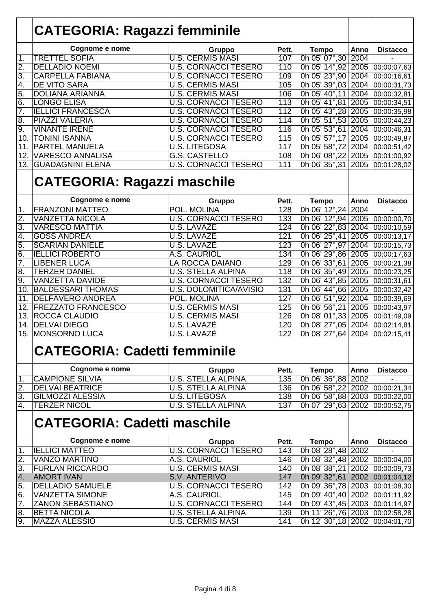|                  | <b>CATEGORIA: Ragazzi femminile</b>                  |                                        |                  |                                            |      |                            |
|------------------|------------------------------------------------------|----------------------------------------|------------------|--------------------------------------------|------|----------------------------|
|                  | Cognome e nome                                       | <b>Gruppo</b>                          | Pett.            | <b>Tempo</b>                               | Anno | <b>Distacco</b>            |
| 1.               | <b>TRETTEL SOFIA</b>                                 | <b>U.S. CERMIS MASI</b>                | 107              | 0h 05' 07",30 2004                         |      |                            |
| $\overline{2}$ . | <b>DELLADIO NOEMI</b>                                | <b>U.S. CORNACCI TESERO</b>            | 110              | 0h 05' 14", 92 2005                        |      | 00:00:07,63                |
| 3.               | <b>CARPELLA FABIANA</b>                              | <b>U.S. CORNACCI TESERO</b>            | 109              | 0h 05' 23",90 2004                         |      | 00:00:16,61                |
| 4.               | <b>DE VITO SARA</b>                                  | <b>U.S. CERMIS MASI</b>                | 105              | 0h 05' 39",03 2004                         |      | 00:00:31,73                |
| 5.               | <b>DOLIANA ARIANNA</b>                               | <b>U.S. CERMIS MASI</b>                | 106              | 0h 05' 40", 11 2004                        |      | 00:00:32,81                |
| 6.               | <b>LONGO ELISA</b>                                   | <b>U.S. CORNACCI TESERO</b>            | 113              | 0h 05' 41",81 2005                         |      | 00:00:34,51                |
| 7.               | <b>IELLICI FRANCESCA</b>                             | <b>U.S. CORNACCI TESERO</b>            | 112              | 0h 05' 43", 28 2005                        |      | 00:00:35,98                |
| 8.               | PIAZZI VALERIA                                       | <b>U.S. CORNACCI TESERO</b>            | 114              | 0h 05' 51",53 2005                         |      | $\overline{00:00:}44,23$   |
| 9.               | <b>VINANTE IRENE</b>                                 | <b>U.S. CORNACCI TESERO</b>            | 116              | 0h 05' 53", 61 2004                        |      | 00:00:46,31                |
| 10.              | <b>TONINI ISANNA</b>                                 | <b>U.S. CORNACCI TESERO</b>            | 115              | 0h 05' 57", 17 2005                        |      | 00:00:49,87                |
| 11.              | <b>PARTEL MANUELA</b>                                | <b>U.S. LITEGOSA</b>                   | 117              | 0h 05' 58", 72 2004                        |      | 00:00:51,42                |
| 12.              | <b>VARESCO ANNALISA</b>                              | <b>G.S. CASTELLO</b>                   | 108              | 0h 06' 08", 22 2005                        |      | 00:01:00,92                |
| 13.              | <b>GUADAGNINI ELENA</b>                              | <b>U.S. CORNACCI TESERO</b>            | 111              | 0h 06' 35", 31 2005                        |      | 00:01:28,02                |
|                  | <b>CATEGORIA: Ragazzi maschile</b>                   |                                        |                  |                                            |      |                            |
|                  | Cognome e nome                                       | Gruppo                                 | Pett.            | <b>Tempo</b>                               | Anno | <b>Distacco</b>            |
| 1.               | <b>FRANZONI MATTEO</b>                               | POL. MOLINA                            | 128              | 0h 06' 12", 24 2004                        |      |                            |
| $\overline{2}$ . | <b>VANZETTA NICOLA</b>                               | <b>U.S. CORNACCI TESERO</b>            | 133              | 0h 06' 12", 94 2005                        |      | 00:00:00,70                |
| 3.               | <b>VARESCO MATTIA</b>                                | <b>U.S. LAVAZE</b>                     | 124              | 0h 06' 22",83 2004                         |      | 00:00:10,59                |
| 4.               | <b>GOSS ANDREA</b>                                   | <b>U.S. LAVAZE</b>                     | 121              | 0h 06' 25", 41 2005                        |      | 00:00:13,17                |
| 5.               | <b>SCARIAN DANIELE</b>                               | U.S. LAVAZĖ                            | 123              | 0h 06' 27",97 2004                         |      | 00:00:15,73                |
| $\overline{6}$   | <b>IELLICI ROBERTO</b>                               | A.S. CAURIOL                           | 134              | 0h 06' 29",86 2005                         |      | 00:00:17,63                |
| 7.               | <b>LIBENER LUCA</b>                                  | LA ROCCA DAIANO                        | 129              | 0h 06' 33", 61 2005                        |      | 00:00:21,38                |
| 8.               | <b>TERZER DANIEL</b>                                 | <b>U.S. STELLA ALPINA</b>              | 118              | 0h 06' 35", 49 2005                        |      | 00:00:23,25                |
| 9.               | VANZETTA DAVIDE                                      | <b>U.S. CORNACCI TESERO</b>            | 132              | 0h 06' 43",85 2005                         |      | 00:00:31,61                |
| 10.              | <b>BALDESSARI THOMAS</b>                             | <b>U.S. DOLOMITICA/AVISIO</b>          | 131<br>127       | 0h 06' 44", 66 2005                        |      | 00:00:32,42                |
| 11.<br>12.       | <b>DELFAVERO ANDREA</b><br><b>FREZZATO FRANCESCO</b> | POL. MOLINA<br><b>U.S. CERMIS MASI</b> | 125              | 0h 06' 51", 92 2004<br>0h 06' 56", 21 2005 |      | 00:00:39,69                |
| 13.              | ROCCA CLAUDIO                                        | <b>U.S. CERMIS MASI</b>                | 126              | 0h 08' 01", 33 2005                        |      | 00:00:43,97<br>00:01:49,09 |
| 14.              | <b>DELVAI DIEGO</b>                                  | U.S. LAVAZE                            | 120              | 0h 08' 27",05 2004                         |      | 00:02:14,81                |
| 15.              | <b>MONSORNO LUCA</b>                                 | <b>U.S. LAVAZE</b>                     | $\overline{122}$ | 0h 08' 27", 64 2004                        |      | 00:02:15,41                |
|                  | <b>CATEGORIA: Cadetti femminile</b>                  |                                        |                  |                                            |      |                            |
|                  | Cognome e nome                                       | Gruppo                                 | Pett.            | <b>Tempo</b>                               | Anno | <b>Distacco</b>            |
| 1.               | <b>CAMPIONE SILVIA</b>                               | <b>U.S. STELLA ALPINA</b>              | 135              | 0h 06' 36",88 2002                         |      |                            |
| $\overline{2}$ . | <b>DELVAI BEATRICE</b>                               | <b>U.S. STELLA ALPINA</b>              | 136              | 0h 06' 58", 22 2002                        |      | 00:00:21,34                |
| 3.               | <b>GILMOZZI ALESSIA</b>                              | <b>U.S. LITEGOSA</b>                   | 138              | 0h 06' 58",88 2003                         |      | 00:00:22,00                |
| 4.               | <b>TERZER NICOL</b>                                  | <b>U.S. STELLA ALPINA</b>              | 137              | 0h 07' 29", 63 2002                        |      | 00:00:52,75                |
|                  | <b>CATEGORIA: Cadetti maschile</b>                   |                                        |                  |                                            |      |                            |
|                  | Cognome e nome                                       | Gruppo                                 | Pett.            | <b>Tempo</b>                               | Anno | <b>Distacco</b>            |
| 1.               | <b>IELLICI MATTEO</b>                                | <b>U.S. CORNACCI TESERO</b>            | 143              | 0h 08' 28", 48 2002                        |      |                            |
| $\overline{2}$ . | <b>VANZO MARTINO</b>                                 | A.S. CAURIOL                           | 146              | 0h 08' $32$ ", 48   2002                   |      | 00:00:04,00                |
| 3.               | <b>FURLAN RICCARDO</b>                               | <b>U.S. CERMIS MASI</b>                | 140              | 0h 08' 38", 21 2002                        |      | 00:00:09,73                |
| 4.               | <b>AMORT IVAN</b>                                    | S.V. ANTERIVO                          | 147              | 0h 09' 32",61 2002 00:01:04,12             |      |                            |
| 5.               | <b>DELLADIO SAMUELE</b>                              | <b>U.S. CORNACCI TESERO</b>            | 142              | 0h 09' 36", 78 2003                        |      | 00:01:08,30                |
| 6.               | <b>VANZETTA SIMONE</b>                               | A.S. CAURIOL                           | 145              | 0h 09' 40", 40 2002                        |      | 00:01:11,92                |
| 7.               | <b>ZANON SEBASTIANO</b>                              | <b>U.S. CORNACCI TESERO</b>            | 144              | 0h 09' 43", 45   2003                      |      | 00:01:14,97                |
| 8.               | <b>BETTA NICOLA</b>                                  | <b>U.S. STELLA ALPINA</b>              | 139              | 0h 11' 26", 76 2003                        |      | 00:02:58,28                |
| 9.               | <b>MAZZA ALESSIO</b>                                 | <b>U.S. CERMIS MASI</b>                | 141              | 0h 12' 30", 18 2002                        |      | 00:04:01,70                |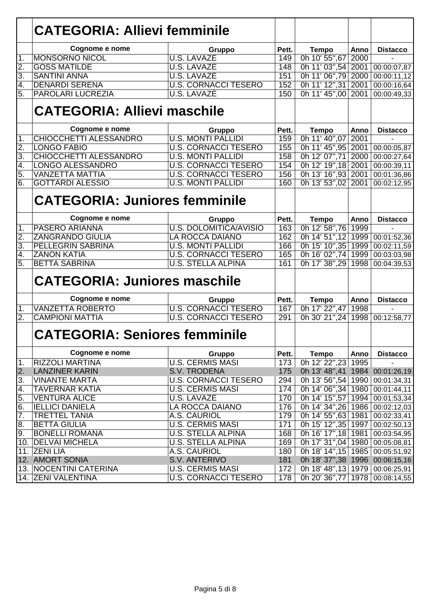|                  | <b>CATEGORIA: Allievi femminile</b>  |                               |       |                                  |              |                 |
|------------------|--------------------------------------|-------------------------------|-------|----------------------------------|--------------|-----------------|
|                  | Cognome e nome                       |                               | Pett. |                                  |              | <b>Distacco</b> |
| 1.               | <b>MONSORNO NICOL</b>                | Gruppo<br><b>U.S. LAVAZE</b>  | 149   | <b>Tempo</b><br>0h 10' 55",67    | Anno<br>2000 |                 |
| $\overline{2}$ . | <b>GOSS MATILDE</b>                  | <b>U.S. LAVAZE</b>            | 148   | 0h 11' 03",54                    | 2001         | 00:00:07,87     |
| $\overline{3}$ . | <b>SANTINI ANNA</b>                  | U.S. LAVAZÈ                   | 151   | 0h 11' 06",79                    | 2000         | 00:00:11,12     |
| $\overline{4}$ . | <b>DENARDI SERENA</b>                | <b>U.S. CORNACCI TESERO</b>   | 152   | 0h 11' 12", 31                   | 2001         | 00:00:16,64     |
| $\overline{5}$ . | <b>PAROLARI LUCREZIA</b>             | <b>U.S. LAVAZE</b>            | 150   | 0h 11' 45",00                    | 2001         | 00:00:49,33     |
|                  | <b>CATEGORIA: Allievi maschile</b>   |                               |       |                                  |              |                 |
|                  | Cognome e nome                       | Gruppo                        | Pett. | <b>Tempo</b>                     | Anno         | <b>Distacco</b> |
| 1.               | <b>CHIOCCHETTI ALESSANDRO</b>        | <b>U.S. MONTI PALLIDI</b>     | 159   | 0h 11' 40",07                    | 2001         |                 |
| $\overline{2}$ . | <b>LONGO FABIO</b>                   | <b>U.S. CORNACCI TESERO</b>   | 155   | 0h 11' 45", 95                   | 2001         | 00:00:05,87     |
| 3.               | <b>CHIOCCHETTI ALESSANDRO</b>        | <b>U.S. MONTI PALLIDI</b>     | 158   | 0h 12' 07",71                    | 2000         | 00:00:27,64     |
| 4.               | <b>LONGO ALESSANDRO</b>              | <b>U.S. CORNACCI TESERO</b>   | 154   | 0h 12' 19", 18                   | 2001         | 00:00:39,11     |
| 5.               | <b>VANZETTA MATTIA</b>               | <b>U.S. CORNACCI TESERO</b>   | 156   | 0h 13' 16",93                    | 2001         | 00:01:36,86     |
| 6.               | <b>GOTTARDI ALESSIO</b>              | <b>U.S. MONTI PALLIDI</b>     | 160   | 0h 13' 53",02                    | 2001         | 00:02:12,95     |
|                  | <b>CATEGORIA: Juniores femminile</b> |                               |       |                                  |              |                 |
|                  | Cognome e nome                       | Gruppo                        | Pett. | <b>Tempo</b>                     | Anno         | <b>Distacco</b> |
| $\mathbf 1$ .    | <b>PASERO ARIANNA</b>                | <b>U.S. DOLOMITICA/AVISIO</b> | 163   | 0h 12' 58",76                    | 1999         |                 |
| $\overline{2}$ . | <b>ZANGRANDO GIULIA</b>              | LA ROCCA DAIANO               | 162   | 0h 14' 51", 12                   | 1999         | 00:01:52,36     |
| $\overline{3}$ . | <b>PELLEGRIN SABRINA</b>             | <b>U.S. MONTI PALLIDI</b>     | 166   | 0h 15' 10", 35                   | 1999         | 00:02:11,59     |
| 4.               | <b>ZANON KATIA</b>                   | <b>U.S. CORNACCI TESERO</b>   | 165   | 0h 16' 02",74                    | 1999         | 00:03:03,98     |
| 5.               | <b>BETTA SABRINA</b>                 | <b>U.S. STELLA ALPINA</b>     | 161   | 0h 17' 38", 29                   | 1998         | 00:04:39,53     |
|                  | <b>CATEGORIA: Juniores maschile</b>  |                               |       |                                  |              |                 |
|                  | Cognome e nome                       | Gruppo                        | Pett. | <b>Tempo</b>                     | Anno         | <b>Distacco</b> |
| $\overline{1}$ . | <b>VANZETTA ROBERTO</b>              | <b>U.S. CORNACCI TESERO</b>   | 167   | 0h 17' 22",47                    | 1998         |                 |
| $\overline{2}$ . | <b>CAMPIONI MATTIA</b>               | <b>U.S. CORNACCI TESERO</b>   | 291   | 0h 30' 21",24                    | 1998         | 00:12:58,77     |
|                  | <b>CATEGORIA: Seniores femminile</b> |                               |       |                                  |              |                 |
|                  | Cognome e nome                       | Gruppo                        | Pett. | <b>Tempo</b>                     | Anno         | <b>Distacco</b> |
| $\vert$ 1.       | <b>RIZZOLI MARTINA</b>               | <b>U.S. CERMIS MASI</b>       | 173   | 0h 12' 22",23                    | 1995         |                 |
| $\overline{2}$ . | <b>LANZINER KARIN</b>                | <b>S.V. TRODENA</b>           | 175   | 0h 13' 48",41 1984 00:01:26,19   |              |                 |
| 3.               | <b>VINANTE MARTA</b>                 | <b>U.S. CORNACCI TESERO</b>   | 294   | 0h 13' 56", 54 1990              |              | 00:01:34,31     |
| 4.               | <b>TAVERNAR KATIA</b>                | <b>U.S. CERMIS MASI</b>       | 174   | 0h 14' 06", 34 1980              |              | 00:01:44,11     |
| 5.               | <b>VENTURA ALICE</b>                 | U.S. LAVAZE                   | 170   | 0h 14' 15",57 1994               |              | 00:01:53,34     |
| 6.               | <b>IELLICI DANIELA</b>               | <b>LA ROCCA DAIANO</b>        | 176   | 0h 14' 34", 26 1986              |              | 00:02:12,03     |
| 7.               | <b>TRETTEL TANIA</b>                 | A.S. CAURIOL                  | 179   | 0h 14' 55", 63 1981              |              | 00:02:33,41     |
| œ.               | <b>BETTA GIULIA</b>                  | <b>U.S. CERMIS MASI</b>       | 171   | 0h 15' 12", 35 1997              |              | 00:02:50,13     |
| 9.               | <b>BONELLI ROMANA</b>                | <b>U.S. STELLA ALPINA</b>     | 168   | 0h 16' 17", 18 1981              |              | 00:03:54,95     |
| 10.              | <b>DELVAI MICHELA</b>                | <b>U.S. STELLA ALPINA</b>     | 169   | 0h 17' 31",04 1980               |              | 00:05:08,81     |
| 11.              | <b>ZENI LIA</b>                      | A.S. CAURIOL                  | 180   | 0h 18' 14", 15 1985              |              | 00:05:51,92     |
|                  | 12. AMORT SONIA                      | <b>S.V. ANTERIVO</b>          | 181   | 0h 18' 37", 38 1996 00:06:15, 16 |              |                 |
|                  | 13. NOCENTINI CATERINA               | <b>U.S. CERMIS MASI</b>       | 172   | 0h 18' 48", 13 1979 00:06:25, 91 |              |                 |
|                  | 14. ZENI VALENTINA                   | <b>U.S. CORNACCI TESERO</b>   | 178   | 0h 20' 36", 77   1978            |              | 00:08:14,55     |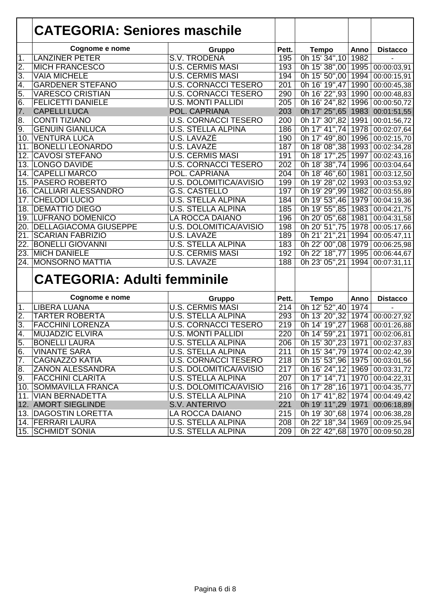|                 | <b>CATEGORIA: Seniores maschile</b> |                               |                  |                                    |      |                           |
|-----------------|-------------------------------------|-------------------------------|------------------|------------------------------------|------|---------------------------|
|                 |                                     |                               |                  |                                    |      |                           |
|                 | Cognome e nome                      | Gruppo                        | Pett.            | <b>Tempo</b>                       | Anno | <b>Distacco</b>           |
| 1.              | <b>LANZINER PETER</b>               | <b>S.V. TRODENA</b>           | 195              | 0h 15' 34", 10                     | 1982 |                           |
| 2.              | <b>MICH FRANCESCO</b>               | <b>U.S. CERMIS MASI</b>       | 193              | 0h 15' 38",00                      | 1995 | 00:00:03,91               |
| 3.              | <b>VAIA MICHELE</b>                 | <b>U.S. CERMIS MASI</b>       | 194              | 0h 15' 50",00                      | 1994 | 00:00:15,91               |
| 4.              | <b>GARDENER STEFANO</b>             | <b>U.S. CORNACCI TESERO</b>   | 201              | 0h 16' 19",47                      | 1990 | 00:00:45,38               |
| 5.              | <b>VARESCO CRISTIAN</b>             | <b>U.S. CORNACCI TESERO</b>   | 290              | 0h 16' 22",93                      | 1990 | 00:00:48,83               |
| 6.              | <b>FELICETTI DANIELE</b>            | <b>U.S. MONTI PALLIDI</b>     | $\overline{205}$ | 0h 16' 24",82 1996                 |      | 00:00:50,72               |
| 7.              | <b>CAPELLI LUCA</b>                 | POL. CAPRIANA                 | 203              | 0h 17' 25",65 1983 00:01:51,55     |      |                           |
| 8.              | <b>CONTI TIZIANO</b>                | <b>U.S. CORNACCI TESERO</b>   | 200              | 0h 17' 30",82 1991                 |      | 00:01:56,72               |
| 9.              | <b>GENUIN GIANLUCA</b>              | <b>U.S. STELLA ALPINA</b>     | 186              | 0h 17' 41", 74 1978                |      | 00:02:07,64               |
| 10.             | <b>VENTURA LUCA</b>                 | <b>U.S. LAVAZE</b>            | 190              | 0h 17' 49",80 1996                 |      | $\overline{00:02:15,70}$  |
| 11.             | <b>BONELLI LEONARDO</b>             | <b>U.S. LAVAZE</b>            | 187              | 0h 18' 08", 38 1993                |      | 00:02:34,28               |
| 12 <sub>1</sub> | <b>CAVOSI STEFANO</b>               | <b>U.S. CERMIS MASI</b>       | 191              | 0h 18' 17",25                      | 1997 | 00:02:43,16               |
|                 | 13. LONGO DAVIDE                    | <b>U.S. CORNACCI TESERO</b>   | 202              | 0h 18' 38", 74                     | 1996 | 00:03:04,64               |
| 14.             | <b>CAPELLI MARCO</b>                | POL. CAPRIANA                 | $\overline{204}$ | 0h 18' 46",60                      | 1981 | 00:03:12,50               |
| 15.             | <b>PASERO ROBERTO</b>               | <b>U.S. DOLOMITICA/AVISIO</b> | 199              | 0h 19' 28",02                      | 1993 | $\overline{00}$ :03:53,92 |
| 16.             | <b>CALLIARI ALESSANDRO</b>          | <b>G.S. CASTELLO</b>          | 197              | 0h 19' 29",99                      | 1982 | $\overline{00:03:55,89}$  |
| 17.             | <b>CHELODI LUCIO</b>                | <b>U.S. STELLA ALPINA</b>     | 184              | 0h 19' 53",46                      | 1979 | 00:04:19,36               |
| 18.             | <b>DEMATTIO DIEGO</b>               | <b>U.S. STELLA ALPINA</b>     | 185              | 0h 19' 55",85                      | 1983 | 00:04:21,75               |
|                 | <b>19. LUFRANO DOMENICO</b>         | <b>LA ROCCA DAIANO</b>        | 196              | 0h 20' 05",68                      | 1981 | 00:04:31,58               |
| 20.             | <b>DELLAGIACOMA GIUSEPPE</b>        | U.S. DOLOMITICA/AVISIO        | 198              | 0h 20' 51",75                      | 1978 | 00:05:17,66               |
| 21              | <b>SCARIAN FABRIZIO</b>             | <b>U.S. LAVAZÉ</b>            | 189              | 0h 21' 21", 21                     | 1994 | 00:05:47,11               |
| 22.             | <b>BONELLI GIOVANNI</b>             | <b>U.S. STELLA ALPINA</b>     | 183              | 0h 22' 00",08 1979                 |      | 00:06:25,98               |
| 23.             | <b>MICH DANIELE</b>                 | <b>U.S. CERMIS MASI</b>       | 192              | 0h 22' 18",77                      | 1995 | 00:06:44,67               |
| 24.             | <b>MONSORNO MATTIA</b>              | <b>U.S. LAVAZÉ</b>            | 188              | 0h 23' 05", 21 1994                |      | 00:07:31,11               |
|                 | <b>CATEGORIA: Adulti femminile</b>  |                               |                  |                                    |      |                           |
|                 | Cognome e nome                      | Gruppo                        | Pett.            | <b>Tempo</b>                       | Anno | <b>Distacco</b>           |
| $\mathbf 1$ .   | <b>LIBERA LUANA</b>                 | <b>U.S. CERMIS MASI</b>       | $\overline{214}$ | 0h 12' 52",40                      | 1974 |                           |
| 2.              | <b>TARTER ROBERTA</b>               | <b>U.S. STELLA ALPINA</b>     | 293              | 0h 13' 20", 32 1974                |      | 00:00:27,92               |
| 3.              | <b>FACCHINI LORENZA</b>             | <b>U.S. CORNACCI TESERO</b>   | $\overline{219}$ | 0h 14' 19", 27 1968                |      | 00:01:26,88               |
| 4.              | <b>MUJADZIC ELVIRA</b>              | <b>U.S. MONTI PALLIDI</b>     | 220              | 0h 14' 59", 21 1971                |      | 00:02:06,81               |
| 5.              | <b>BONELLI LAURA</b>                | <b>U.S. STELLA ALPINA</b>     | 206              | 0h 15' 30", 23 1971 00:02:37, 83   |      |                           |
| 6.              | <b>VINANTE SARA</b>                 | <b>U.S. STELLA ALPINA</b>     | 211              | 0h 15' 34", 79 1974 00:02:42, 39   |      |                           |
| 7.              | <b>CAGNAZZO KATIA</b>               | <b>U.S. CORNACCI TESERO</b>   | 218              | 0h 15' 53",96 1975 00:03:01,56     |      |                           |
| 8.              | <b>ZANON ALESSANDRA</b>             | U.S. DOLOMITICA/AVISIO        | 217              | 0h 16' 24", 12 1969 00:03:31, 72   |      |                           |
| 9.              | <b>FACCHINI CLARITA</b>             | <b>U.S. STELLA ALPINA</b>     | 207              | 0h 17' 14",71   1970   00:04:22,31 |      |                           |
|                 | 10. SOMMAVILLA FRANCA               | U.S. DOLOMITICA/AVISIO        | 216              | 0h 17' 28", 16 1971                |      | 00:04:35,77               |
| 11.             | <b>VIAN BERNADETTA</b>              | <b>U.S. STELLA ALPINA</b>     | 210              | 0h 17' 41",82 1974                 |      | 00:04:49,42               |
|                 | 12. AMORT SIEGLINDE                 | S.V. ANTERIVO                 | 221              | 0h 19' 11",29 1971 00:06:18,89     |      |                           |
|                 | 13. DAGOSTIN LORETTA                | LA ROCCA DAIANO               | 215              | 0h 19' 30",68   1974               |      | 00:06:38,28               |
|                 | 14. FERRARI LAURA                   | <b>U.S. STELLA ALPINA</b>     | 208              | 0h 22' 18", 34   1969              |      | 00:09:25,94               |
|                 | 15. SCHMIDT SONIA                   | <b>U.S. STELLA ALPINA</b>     | 209              | 0h 22' 42",68 1970 00:09:50,28     |      |                           |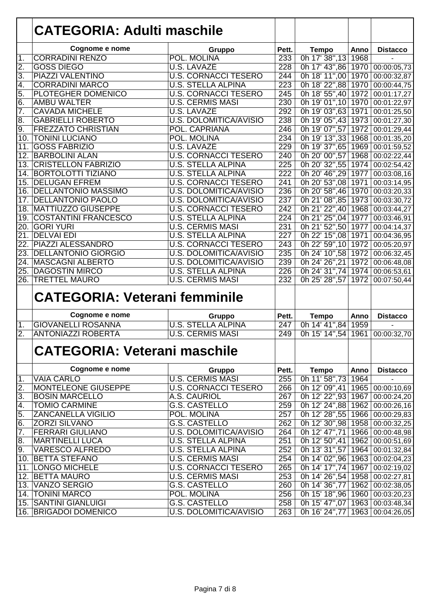| Cognome e nome<br>Pett.<br><b>Tempo</b><br>Anno<br>Gruppo<br><b>CORRADINI RENZO</b><br>233<br>0h 17' 38", 13<br>POL. MOLINA<br>1968<br>1.<br>$\overline{2}$ .<br><b>GOSS DIEGO</b><br><b>U.S. LAVAZE</b><br>228<br>0h 17' 43",86 1970<br>3.<br>PIAZZI VALENTINO<br><b>U.S. CORNACCI TESERO</b><br>0h 18' 11",00<br>1970<br>244<br><b>CORRADINI MARCO</b><br><b>U.S. STELLA ALPINA</b><br>$\overline{223}$<br>0h 18' 22",88<br>4.<br>1970<br>5.<br><b>U.S. CORNACCI TESERO</b><br>$\overline{245}$<br>0h 18' 55",40<br><b>PLOTEGHER DOMENICO</b><br>1972<br>$\overline{6}$<br>0h 19' 01", 10<br><b>U.S. CERMIS MASI</b><br>230<br><b>AMBU WALTER</b><br>1970<br>7.<br>292<br>0h 19' 03",63<br><b>CAVADA MICHELE</b><br><b>U.S. LAVAZE</b><br>1971<br>$\overline{8}$ .<br><b>U.S. DOLOMITICA/AVISIO</b><br>238<br>0h 19' 05",43<br><b>GABRIELLI ROBERTO</b><br>1973<br>00:01:27,30<br>9.<br>246<br>0h 19' 07",57<br><b>FREZZATO CHRISTIAN</b><br>POL. CAPRIANA<br>1972<br>00:01:29,44<br>234<br>0h 19' 13", 33<br>$\overline{10}$<br><b>TONINI LUCIANO</b><br>1968<br>POL. MOLINA<br>00:01:35,20<br><b>GOSS FABRIZIO</b><br>229<br>0h 19' 37", 65<br>11.<br>U.S. LAVAZE<br>1969<br>00:01:59,52<br><b>BARBOLINI ALAN</b><br><b>U.S. CORNACCI TESERO</b><br>0h 20' 00",57<br>1968<br>12.<br>240<br>00:02:22,44<br><b>CRISTELLON FABRIZIO</b><br><b>U.S. STELLA ALPINA</b><br>$\overline{225}$<br>0h 20' 32",55<br>13.<br>1974<br>00:02:54,42<br><b>U.S. STELLA ALPINA</b><br>$\overline{222}$<br>0h 20' 46", 29<br><b>BORTOLOTTI TIZIANO</b><br>1977<br>14.<br>00:03:08,16<br><b>DELUGAN EFREM</b><br>241<br>0h 20' 53",08<br><b>U.S. CORNACCI TESERO</b><br>1971<br>15.<br>00:03:14,95<br><b>DELLANTONIO MASSIMO</b><br>236<br>0h 20' 58",46<br><b>U.S. DOLOMITICA/AVISIO</b><br>1970<br>16.<br>00:03:20,33<br>0h 21' 08",85<br><b>DELLANTONIO PAOLO</b><br><b>U.S. DOLOMITICA/AVISIO</b><br>237<br>1973<br>17.<br>00:03:30,72<br>18. MATTIUZZO GIUSEPPE<br>242<br>0h 21' 22",40<br><b>U.S. CORNACCI TESERO</b><br>1968<br>00:03:44,27<br>0h 21' 25",04<br><b>U.S. STELLA ALPINA</b><br>224<br><b>COSTANTINI FRANCESCO</b><br>1977<br>00:03:46,91<br>19.<br>0h 21' 52",50<br>231<br><b>GORI YURI</b><br><b>U.S. CERMIS MASI</b><br>1977<br>20.<br>00:04:14,37<br>0h 22' 15",08<br><b>DELVAI EDI</b><br><b>U.S. STELLA ALPINA</b><br>$\overline{227}$<br>21.<br>1971<br>00:04:36,95<br><b>PIAZZI ALESSANDRO</b><br>0h 22' 59", 10<br><b>U.S. CORNACCI TESERO</b><br>$\overline{243}$<br>1972<br>22.<br>00:05:20,97<br>0h 24' 10",58<br><b>DELLANTONIO GIORGIO</b><br><b>U.S. DOLOMITICA/AVISIO</b><br>235<br>1972<br>23.<br>00:06:32,45<br>0h 24' 26", 21<br><b>MASCAGNI ALBERTO</b><br>239<br>1972<br>24.<br><b>U.S. DOLOMITICA/AVISIO</b><br>00:06:48,08<br>0h 24' 31", 74 1974<br><b>DAGOSTIN MIRCO</b><br><b>U.S. STELLA ALPINA</b><br>226<br>25.<br>00:06:53,61<br><b>U.S. CERMIS MASI</b><br>232<br><b>TRETTEL MAURO</b><br>0h 25' 28",57<br>26.<br>1972<br>00:07:50,44<br><b>CATEGORIA: Veterani femminile</b><br>Cognome e nome<br>Pett.<br><b>Tempo</b><br>Anno<br>Gruppo<br><b>GIOVANELLI ROSANNA</b><br><b>U.S. STELLA ALPINA</b><br>0h 14' 41",84<br>247<br>1959<br>1.<br>$\overline{2}$ .<br>0h 15' 14",54 1961<br><b>ANTONIAZZI ROBERTA</b><br><b>U.S. CERMIS MASI</b><br>249<br><b>CATEGORIA: Veterani maschile</b> | <b>CATEGORIA: Adulti maschile</b> |        |       |              |      |                          |
|--------------------------------------------------------------------------------------------------------------------------------------------------------------------------------------------------------------------------------------------------------------------------------------------------------------------------------------------------------------------------------------------------------------------------------------------------------------------------------------------------------------------------------------------------------------------------------------------------------------------------------------------------------------------------------------------------------------------------------------------------------------------------------------------------------------------------------------------------------------------------------------------------------------------------------------------------------------------------------------------------------------------------------------------------------------------------------------------------------------------------------------------------------------------------------------------------------------------------------------------------------------------------------------------------------------------------------------------------------------------------------------------------------------------------------------------------------------------------------------------------------------------------------------------------------------------------------------------------------------------------------------------------------------------------------------------------------------------------------------------------------------------------------------------------------------------------------------------------------------------------------------------------------------------------------------------------------------------------------------------------------------------------------------------------------------------------------------------------------------------------------------------------------------------------------------------------------------------------------------------------------------------------------------------------------------------------------------------------------------------------------------------------------------------------------------------------------------------------------------------------------------------------------------------------------------------------------------------------------------------------------------------------------------------------------------------------------------------------------------------------------------------------------------------------------------------------------------------------------------------------------------------------------------------------------------------------------------------------------------------------------------------------------------------------------------------------------------------------------------------------------------------------------------------------------------------------------------------------------------------------------------------------------------------------------------------------------|-----------------------------------|--------|-------|--------------|------|--------------------------|
|                                                                                                                                                                                                                                                                                                                                                                                                                                                                                                                                                                                                                                                                                                                                                                                                                                                                                                                                                                                                                                                                                                                                                                                                                                                                                                                                                                                                                                                                                                                                                                                                                                                                                                                                                                                                                                                                                                                                                                                                                                                                                                                                                                                                                                                                                                                                                                                                                                                                                                                                                                                                                                                                                                                                                                                                                                                                                                                                                                                                                                                                                                                                                                                                                                                                                                                                |                                   |        |       |              |      | <b>Distacco</b>          |
|                                                                                                                                                                                                                                                                                                                                                                                                                                                                                                                                                                                                                                                                                                                                                                                                                                                                                                                                                                                                                                                                                                                                                                                                                                                                                                                                                                                                                                                                                                                                                                                                                                                                                                                                                                                                                                                                                                                                                                                                                                                                                                                                                                                                                                                                                                                                                                                                                                                                                                                                                                                                                                                                                                                                                                                                                                                                                                                                                                                                                                                                                                                                                                                                                                                                                                                                |                                   |        |       |              |      |                          |
|                                                                                                                                                                                                                                                                                                                                                                                                                                                                                                                                                                                                                                                                                                                                                                                                                                                                                                                                                                                                                                                                                                                                                                                                                                                                                                                                                                                                                                                                                                                                                                                                                                                                                                                                                                                                                                                                                                                                                                                                                                                                                                                                                                                                                                                                                                                                                                                                                                                                                                                                                                                                                                                                                                                                                                                                                                                                                                                                                                                                                                                                                                                                                                                                                                                                                                                                |                                   |        |       |              |      | 00:00:05,73              |
|                                                                                                                                                                                                                                                                                                                                                                                                                                                                                                                                                                                                                                                                                                                                                                                                                                                                                                                                                                                                                                                                                                                                                                                                                                                                                                                                                                                                                                                                                                                                                                                                                                                                                                                                                                                                                                                                                                                                                                                                                                                                                                                                                                                                                                                                                                                                                                                                                                                                                                                                                                                                                                                                                                                                                                                                                                                                                                                                                                                                                                                                                                                                                                                                                                                                                                                                |                                   |        |       |              |      | 00:00:32,87              |
|                                                                                                                                                                                                                                                                                                                                                                                                                                                                                                                                                                                                                                                                                                                                                                                                                                                                                                                                                                                                                                                                                                                                                                                                                                                                                                                                                                                                                                                                                                                                                                                                                                                                                                                                                                                                                                                                                                                                                                                                                                                                                                                                                                                                                                                                                                                                                                                                                                                                                                                                                                                                                                                                                                                                                                                                                                                                                                                                                                                                                                                                                                                                                                                                                                                                                                                                |                                   |        |       |              |      | 00:00:44,75              |
|                                                                                                                                                                                                                                                                                                                                                                                                                                                                                                                                                                                                                                                                                                                                                                                                                                                                                                                                                                                                                                                                                                                                                                                                                                                                                                                                                                                                                                                                                                                                                                                                                                                                                                                                                                                                                                                                                                                                                                                                                                                                                                                                                                                                                                                                                                                                                                                                                                                                                                                                                                                                                                                                                                                                                                                                                                                                                                                                                                                                                                                                                                                                                                                                                                                                                                                                |                                   |        |       |              |      | 00:01:17,27              |
|                                                                                                                                                                                                                                                                                                                                                                                                                                                                                                                                                                                                                                                                                                                                                                                                                                                                                                                                                                                                                                                                                                                                                                                                                                                                                                                                                                                                                                                                                                                                                                                                                                                                                                                                                                                                                                                                                                                                                                                                                                                                                                                                                                                                                                                                                                                                                                                                                                                                                                                                                                                                                                                                                                                                                                                                                                                                                                                                                                                                                                                                                                                                                                                                                                                                                                                                |                                   |        |       |              |      | 00:01:22,97              |
|                                                                                                                                                                                                                                                                                                                                                                                                                                                                                                                                                                                                                                                                                                                                                                                                                                                                                                                                                                                                                                                                                                                                                                                                                                                                                                                                                                                                                                                                                                                                                                                                                                                                                                                                                                                                                                                                                                                                                                                                                                                                                                                                                                                                                                                                                                                                                                                                                                                                                                                                                                                                                                                                                                                                                                                                                                                                                                                                                                                                                                                                                                                                                                                                                                                                                                                                |                                   |        |       |              |      | 00:01:25,50              |
|                                                                                                                                                                                                                                                                                                                                                                                                                                                                                                                                                                                                                                                                                                                                                                                                                                                                                                                                                                                                                                                                                                                                                                                                                                                                                                                                                                                                                                                                                                                                                                                                                                                                                                                                                                                                                                                                                                                                                                                                                                                                                                                                                                                                                                                                                                                                                                                                                                                                                                                                                                                                                                                                                                                                                                                                                                                                                                                                                                                                                                                                                                                                                                                                                                                                                                                                |                                   |        |       |              |      |                          |
|                                                                                                                                                                                                                                                                                                                                                                                                                                                                                                                                                                                                                                                                                                                                                                                                                                                                                                                                                                                                                                                                                                                                                                                                                                                                                                                                                                                                                                                                                                                                                                                                                                                                                                                                                                                                                                                                                                                                                                                                                                                                                                                                                                                                                                                                                                                                                                                                                                                                                                                                                                                                                                                                                                                                                                                                                                                                                                                                                                                                                                                                                                                                                                                                                                                                                                                                |                                   |        |       |              |      |                          |
|                                                                                                                                                                                                                                                                                                                                                                                                                                                                                                                                                                                                                                                                                                                                                                                                                                                                                                                                                                                                                                                                                                                                                                                                                                                                                                                                                                                                                                                                                                                                                                                                                                                                                                                                                                                                                                                                                                                                                                                                                                                                                                                                                                                                                                                                                                                                                                                                                                                                                                                                                                                                                                                                                                                                                                                                                                                                                                                                                                                                                                                                                                                                                                                                                                                                                                                                |                                   |        |       |              |      |                          |
|                                                                                                                                                                                                                                                                                                                                                                                                                                                                                                                                                                                                                                                                                                                                                                                                                                                                                                                                                                                                                                                                                                                                                                                                                                                                                                                                                                                                                                                                                                                                                                                                                                                                                                                                                                                                                                                                                                                                                                                                                                                                                                                                                                                                                                                                                                                                                                                                                                                                                                                                                                                                                                                                                                                                                                                                                                                                                                                                                                                                                                                                                                                                                                                                                                                                                                                                |                                   |        |       |              |      |                          |
|                                                                                                                                                                                                                                                                                                                                                                                                                                                                                                                                                                                                                                                                                                                                                                                                                                                                                                                                                                                                                                                                                                                                                                                                                                                                                                                                                                                                                                                                                                                                                                                                                                                                                                                                                                                                                                                                                                                                                                                                                                                                                                                                                                                                                                                                                                                                                                                                                                                                                                                                                                                                                                                                                                                                                                                                                                                                                                                                                                                                                                                                                                                                                                                                                                                                                                                                |                                   |        |       |              |      |                          |
|                                                                                                                                                                                                                                                                                                                                                                                                                                                                                                                                                                                                                                                                                                                                                                                                                                                                                                                                                                                                                                                                                                                                                                                                                                                                                                                                                                                                                                                                                                                                                                                                                                                                                                                                                                                                                                                                                                                                                                                                                                                                                                                                                                                                                                                                                                                                                                                                                                                                                                                                                                                                                                                                                                                                                                                                                                                                                                                                                                                                                                                                                                                                                                                                                                                                                                                                |                                   |        |       |              |      |                          |
|                                                                                                                                                                                                                                                                                                                                                                                                                                                                                                                                                                                                                                                                                                                                                                                                                                                                                                                                                                                                                                                                                                                                                                                                                                                                                                                                                                                                                                                                                                                                                                                                                                                                                                                                                                                                                                                                                                                                                                                                                                                                                                                                                                                                                                                                                                                                                                                                                                                                                                                                                                                                                                                                                                                                                                                                                                                                                                                                                                                                                                                                                                                                                                                                                                                                                                                                |                                   |        |       |              |      |                          |
|                                                                                                                                                                                                                                                                                                                                                                                                                                                                                                                                                                                                                                                                                                                                                                                                                                                                                                                                                                                                                                                                                                                                                                                                                                                                                                                                                                                                                                                                                                                                                                                                                                                                                                                                                                                                                                                                                                                                                                                                                                                                                                                                                                                                                                                                                                                                                                                                                                                                                                                                                                                                                                                                                                                                                                                                                                                                                                                                                                                                                                                                                                                                                                                                                                                                                                                                |                                   |        |       |              |      |                          |
|                                                                                                                                                                                                                                                                                                                                                                                                                                                                                                                                                                                                                                                                                                                                                                                                                                                                                                                                                                                                                                                                                                                                                                                                                                                                                                                                                                                                                                                                                                                                                                                                                                                                                                                                                                                                                                                                                                                                                                                                                                                                                                                                                                                                                                                                                                                                                                                                                                                                                                                                                                                                                                                                                                                                                                                                                                                                                                                                                                                                                                                                                                                                                                                                                                                                                                                                |                                   |        |       |              |      |                          |
|                                                                                                                                                                                                                                                                                                                                                                                                                                                                                                                                                                                                                                                                                                                                                                                                                                                                                                                                                                                                                                                                                                                                                                                                                                                                                                                                                                                                                                                                                                                                                                                                                                                                                                                                                                                                                                                                                                                                                                                                                                                                                                                                                                                                                                                                                                                                                                                                                                                                                                                                                                                                                                                                                                                                                                                                                                                                                                                                                                                                                                                                                                                                                                                                                                                                                                                                |                                   |        |       |              |      |                          |
|                                                                                                                                                                                                                                                                                                                                                                                                                                                                                                                                                                                                                                                                                                                                                                                                                                                                                                                                                                                                                                                                                                                                                                                                                                                                                                                                                                                                                                                                                                                                                                                                                                                                                                                                                                                                                                                                                                                                                                                                                                                                                                                                                                                                                                                                                                                                                                                                                                                                                                                                                                                                                                                                                                                                                                                                                                                                                                                                                                                                                                                                                                                                                                                                                                                                                                                                |                                   |        |       |              |      |                          |
|                                                                                                                                                                                                                                                                                                                                                                                                                                                                                                                                                                                                                                                                                                                                                                                                                                                                                                                                                                                                                                                                                                                                                                                                                                                                                                                                                                                                                                                                                                                                                                                                                                                                                                                                                                                                                                                                                                                                                                                                                                                                                                                                                                                                                                                                                                                                                                                                                                                                                                                                                                                                                                                                                                                                                                                                                                                                                                                                                                                                                                                                                                                                                                                                                                                                                                                                |                                   |        |       |              |      |                          |
|                                                                                                                                                                                                                                                                                                                                                                                                                                                                                                                                                                                                                                                                                                                                                                                                                                                                                                                                                                                                                                                                                                                                                                                                                                                                                                                                                                                                                                                                                                                                                                                                                                                                                                                                                                                                                                                                                                                                                                                                                                                                                                                                                                                                                                                                                                                                                                                                                                                                                                                                                                                                                                                                                                                                                                                                                                                                                                                                                                                                                                                                                                                                                                                                                                                                                                                                |                                   |        |       |              |      |                          |
|                                                                                                                                                                                                                                                                                                                                                                                                                                                                                                                                                                                                                                                                                                                                                                                                                                                                                                                                                                                                                                                                                                                                                                                                                                                                                                                                                                                                                                                                                                                                                                                                                                                                                                                                                                                                                                                                                                                                                                                                                                                                                                                                                                                                                                                                                                                                                                                                                                                                                                                                                                                                                                                                                                                                                                                                                                                                                                                                                                                                                                                                                                                                                                                                                                                                                                                                |                                   |        |       |              |      |                          |
|                                                                                                                                                                                                                                                                                                                                                                                                                                                                                                                                                                                                                                                                                                                                                                                                                                                                                                                                                                                                                                                                                                                                                                                                                                                                                                                                                                                                                                                                                                                                                                                                                                                                                                                                                                                                                                                                                                                                                                                                                                                                                                                                                                                                                                                                                                                                                                                                                                                                                                                                                                                                                                                                                                                                                                                                                                                                                                                                                                                                                                                                                                                                                                                                                                                                                                                                |                                   |        |       |              |      |                          |
|                                                                                                                                                                                                                                                                                                                                                                                                                                                                                                                                                                                                                                                                                                                                                                                                                                                                                                                                                                                                                                                                                                                                                                                                                                                                                                                                                                                                                                                                                                                                                                                                                                                                                                                                                                                                                                                                                                                                                                                                                                                                                                                                                                                                                                                                                                                                                                                                                                                                                                                                                                                                                                                                                                                                                                                                                                                                                                                                                                                                                                                                                                                                                                                                                                                                                                                                |                                   |        |       |              |      |                          |
|                                                                                                                                                                                                                                                                                                                                                                                                                                                                                                                                                                                                                                                                                                                                                                                                                                                                                                                                                                                                                                                                                                                                                                                                                                                                                                                                                                                                                                                                                                                                                                                                                                                                                                                                                                                                                                                                                                                                                                                                                                                                                                                                                                                                                                                                                                                                                                                                                                                                                                                                                                                                                                                                                                                                                                                                                                                                                                                                                                                                                                                                                                                                                                                                                                                                                                                                |                                   |        |       |              |      |                          |
|                                                                                                                                                                                                                                                                                                                                                                                                                                                                                                                                                                                                                                                                                                                                                                                                                                                                                                                                                                                                                                                                                                                                                                                                                                                                                                                                                                                                                                                                                                                                                                                                                                                                                                                                                                                                                                                                                                                                                                                                                                                                                                                                                                                                                                                                                                                                                                                                                                                                                                                                                                                                                                                                                                                                                                                                                                                                                                                                                                                                                                                                                                                                                                                                                                                                                                                                |                                   |        |       |              |      |                          |
|                                                                                                                                                                                                                                                                                                                                                                                                                                                                                                                                                                                                                                                                                                                                                                                                                                                                                                                                                                                                                                                                                                                                                                                                                                                                                                                                                                                                                                                                                                                                                                                                                                                                                                                                                                                                                                                                                                                                                                                                                                                                                                                                                                                                                                                                                                                                                                                                                                                                                                                                                                                                                                                                                                                                                                                                                                                                                                                                                                                                                                                                                                                                                                                                                                                                                                                                |                                   |        |       |              |      |                          |
|                                                                                                                                                                                                                                                                                                                                                                                                                                                                                                                                                                                                                                                                                                                                                                                                                                                                                                                                                                                                                                                                                                                                                                                                                                                                                                                                                                                                                                                                                                                                                                                                                                                                                                                                                                                                                                                                                                                                                                                                                                                                                                                                                                                                                                                                                                                                                                                                                                                                                                                                                                                                                                                                                                                                                                                                                                                                                                                                                                                                                                                                                                                                                                                                                                                                                                                                |                                   |        |       |              |      | <b>Distacco</b>          |
|                                                                                                                                                                                                                                                                                                                                                                                                                                                                                                                                                                                                                                                                                                                                                                                                                                                                                                                                                                                                                                                                                                                                                                                                                                                                                                                                                                                                                                                                                                                                                                                                                                                                                                                                                                                                                                                                                                                                                                                                                                                                                                                                                                                                                                                                                                                                                                                                                                                                                                                                                                                                                                                                                                                                                                                                                                                                                                                                                                                                                                                                                                                                                                                                                                                                                                                                |                                   |        |       |              |      |                          |
|                                                                                                                                                                                                                                                                                                                                                                                                                                                                                                                                                                                                                                                                                                                                                                                                                                                                                                                                                                                                                                                                                                                                                                                                                                                                                                                                                                                                                                                                                                                                                                                                                                                                                                                                                                                                                                                                                                                                                                                                                                                                                                                                                                                                                                                                                                                                                                                                                                                                                                                                                                                                                                                                                                                                                                                                                                                                                                                                                                                                                                                                                                                                                                                                                                                                                                                                |                                   |        |       |              |      | 00:00:32,70              |
|                                                                                                                                                                                                                                                                                                                                                                                                                                                                                                                                                                                                                                                                                                                                                                                                                                                                                                                                                                                                                                                                                                                                                                                                                                                                                                                                                                                                                                                                                                                                                                                                                                                                                                                                                                                                                                                                                                                                                                                                                                                                                                                                                                                                                                                                                                                                                                                                                                                                                                                                                                                                                                                                                                                                                                                                                                                                                                                                                                                                                                                                                                                                                                                                                                                                                                                                |                                   |        |       |              |      |                          |
|                                                                                                                                                                                                                                                                                                                                                                                                                                                                                                                                                                                                                                                                                                                                                                                                                                                                                                                                                                                                                                                                                                                                                                                                                                                                                                                                                                                                                                                                                                                                                                                                                                                                                                                                                                                                                                                                                                                                                                                                                                                                                                                                                                                                                                                                                                                                                                                                                                                                                                                                                                                                                                                                                                                                                                                                                                                                                                                                                                                                                                                                                                                                                                                                                                                                                                                                | Cognome e nome                    | Gruppo | Pett. | <b>Tempo</b> | Anno | <b>Distacco</b>          |
| <b>U.S. CERMIS MASI</b><br>0h 11' 58", 73<br><b>VAIA CARLO</b><br>255<br>1.<br>1964                                                                                                                                                                                                                                                                                                                                                                                                                                                                                                                                                                                                                                                                                                                                                                                                                                                                                                                                                                                                                                                                                                                                                                                                                                                                                                                                                                                                                                                                                                                                                                                                                                                                                                                                                                                                                                                                                                                                                                                                                                                                                                                                                                                                                                                                                                                                                                                                                                                                                                                                                                                                                                                                                                                                                                                                                                                                                                                                                                                                                                                                                                                                                                                                                                            |                                   |        |       |              |      |                          |
| <b>MONTELEONE GIUSEPPE</b><br>2.<br><b>U.S. CORNACCI TESERO</b><br>0h 12' 09",41   1965  <br>266                                                                                                                                                                                                                                                                                                                                                                                                                                                                                                                                                                                                                                                                                                                                                                                                                                                                                                                                                                                                                                                                                                                                                                                                                                                                                                                                                                                                                                                                                                                                                                                                                                                                                                                                                                                                                                                                                                                                                                                                                                                                                                                                                                                                                                                                                                                                                                                                                                                                                                                                                                                                                                                                                                                                                                                                                                                                                                                                                                                                                                                                                                                                                                                                                               |                                   |        |       |              |      | 00:00:10,69              |
| <b>BOSIN MARCELLO</b><br>A.S. CAURIOL<br>267<br>0h 12' 22", 93 1967<br>3.                                                                                                                                                                                                                                                                                                                                                                                                                                                                                                                                                                                                                                                                                                                                                                                                                                                                                                                                                                                                                                                                                                                                                                                                                                                                                                                                                                                                                                                                                                                                                                                                                                                                                                                                                                                                                                                                                                                                                                                                                                                                                                                                                                                                                                                                                                                                                                                                                                                                                                                                                                                                                                                                                                                                                                                                                                                                                                                                                                                                                                                                                                                                                                                                                                                      |                                   |        |       |              |      | 00:00:24,20              |
| 0h 12' 24",88 1962<br><b>TOMIO CARMINE</b><br><b>G.S. CASTELLO</b><br>259<br>4.                                                                                                                                                                                                                                                                                                                                                                                                                                                                                                                                                                                                                                                                                                                                                                                                                                                                                                                                                                                                                                                                                                                                                                                                                                                                                                                                                                                                                                                                                                                                                                                                                                                                                                                                                                                                                                                                                                                                                                                                                                                                                                                                                                                                                                                                                                                                                                                                                                                                                                                                                                                                                                                                                                                                                                                                                                                                                                                                                                                                                                                                                                                                                                                                                                                |                                   |        |       |              |      | 00:00:26,16              |
| <b>ZANCANELLA VIGILIO</b><br>POL. MOLINA<br>$\overline{257}$<br>0h 12' 28",55 1966<br>5.                                                                                                                                                                                                                                                                                                                                                                                                                                                                                                                                                                                                                                                                                                                                                                                                                                                                                                                                                                                                                                                                                                                                                                                                                                                                                                                                                                                                                                                                                                                                                                                                                                                                                                                                                                                                                                                                                                                                                                                                                                                                                                                                                                                                                                                                                                                                                                                                                                                                                                                                                                                                                                                                                                                                                                                                                                                                                                                                                                                                                                                                                                                                                                                                                                       |                                   |        |       |              |      | 00:00:29,83              |
| <b>ZORZI SILVANO</b><br><b>G.S. CASTELLO</b><br>262<br>0h 12' 30",98 1958<br>6.                                                                                                                                                                                                                                                                                                                                                                                                                                                                                                                                                                                                                                                                                                                                                                                                                                                                                                                                                                                                                                                                                                                                                                                                                                                                                                                                                                                                                                                                                                                                                                                                                                                                                                                                                                                                                                                                                                                                                                                                                                                                                                                                                                                                                                                                                                                                                                                                                                                                                                                                                                                                                                                                                                                                                                                                                                                                                                                                                                                                                                                                                                                                                                                                                                                |                                   |        |       |              |      | 00:00:32,25              |
| <b>FERRARI GIULIANO</b><br><b>U.S. DOLOMITICA/AVISIO</b><br>264<br>0h 12' 47", 71 1966<br>7.                                                                                                                                                                                                                                                                                                                                                                                                                                                                                                                                                                                                                                                                                                                                                                                                                                                                                                                                                                                                                                                                                                                                                                                                                                                                                                                                                                                                                                                                                                                                                                                                                                                                                                                                                                                                                                                                                                                                                                                                                                                                                                                                                                                                                                                                                                                                                                                                                                                                                                                                                                                                                                                                                                                                                                                                                                                                                                                                                                                                                                                                                                                                                                                                                                   |                                   |        |       |              |      | 00:00:48,98              |
| <b>MARTINELLI LUCA</b><br><b>U.S. STELLA ALPINA</b><br>251<br>0h 12' 50", 41 1962<br>8.                                                                                                                                                                                                                                                                                                                                                                                                                                                                                                                                                                                                                                                                                                                                                                                                                                                                                                                                                                                                                                                                                                                                                                                                                                                                                                                                                                                                                                                                                                                                                                                                                                                                                                                                                                                                                                                                                                                                                                                                                                                                                                                                                                                                                                                                                                                                                                                                                                                                                                                                                                                                                                                                                                                                                                                                                                                                                                                                                                                                                                                                                                                                                                                                                                        |                                   |        |       |              |      | 00:00:51,69              |
| <b>VARESCO ALFREDO</b><br><b>U.S. STELLA ALPINA</b><br>252<br>0h 13' 31",57 1964<br>9.                                                                                                                                                                                                                                                                                                                                                                                                                                                                                                                                                                                                                                                                                                                                                                                                                                                                                                                                                                                                                                                                                                                                                                                                                                                                                                                                                                                                                                                                                                                                                                                                                                                                                                                                                                                                                                                                                                                                                                                                                                                                                                                                                                                                                                                                                                                                                                                                                                                                                                                                                                                                                                                                                                                                                                                                                                                                                                                                                                                                                                                                                                                                                                                                                                         |                                   |        |       |              |      | $\overline{00:01:32,84}$ |
| <b>BETTA STEFANO</b><br><b>U.S. CERMIS MASI</b><br>254<br>0h 14' 02",96 1963<br>10.                                                                                                                                                                                                                                                                                                                                                                                                                                                                                                                                                                                                                                                                                                                                                                                                                                                                                                                                                                                                                                                                                                                                                                                                                                                                                                                                                                                                                                                                                                                                                                                                                                                                                                                                                                                                                                                                                                                                                                                                                                                                                                                                                                                                                                                                                                                                                                                                                                                                                                                                                                                                                                                                                                                                                                                                                                                                                                                                                                                                                                                                                                                                                                                                                                            |                                   |        |       |              |      | 00:02:04,23              |
| <b>LONGO MICHELE</b><br><b>U.S. CORNACCI TESERO</b><br>265<br>0h 14' 17", 74 1967<br>11.                                                                                                                                                                                                                                                                                                                                                                                                                                                                                                                                                                                                                                                                                                                                                                                                                                                                                                                                                                                                                                                                                                                                                                                                                                                                                                                                                                                                                                                                                                                                                                                                                                                                                                                                                                                                                                                                                                                                                                                                                                                                                                                                                                                                                                                                                                                                                                                                                                                                                                                                                                                                                                                                                                                                                                                                                                                                                                                                                                                                                                                                                                                                                                                                                                       |                                   |        |       |              |      | 00:02:19,02              |
| <b>U.S. CERMIS MASI</b><br>253<br>0h 14' 26",54 1958<br>12.<br><b>BETTA MAURO</b>                                                                                                                                                                                                                                                                                                                                                                                                                                                                                                                                                                                                                                                                                                                                                                                                                                                                                                                                                                                                                                                                                                                                                                                                                                                                                                                                                                                                                                                                                                                                                                                                                                                                                                                                                                                                                                                                                                                                                                                                                                                                                                                                                                                                                                                                                                                                                                                                                                                                                                                                                                                                                                                                                                                                                                                                                                                                                                                                                                                                                                                                                                                                                                                                                                              |                                   |        |       |              |      | $\overline{00:02:27,81}$ |
| 0h 14' 36", 77   1962  <br><b>VANZO SERGIO</b><br><b>G.S. CASTELLO</b><br>260<br>13.                                                                                                                                                                                                                                                                                                                                                                                                                                                                                                                                                                                                                                                                                                                                                                                                                                                                                                                                                                                                                                                                                                                                                                                                                                                                                                                                                                                                                                                                                                                                                                                                                                                                                                                                                                                                                                                                                                                                                                                                                                                                                                                                                                                                                                                                                                                                                                                                                                                                                                                                                                                                                                                                                                                                                                                                                                                                                                                                                                                                                                                                                                                                                                                                                                           |                                   |        |       |              |      | 00:02:38,05              |
| <b>TONINI MARCO</b><br>POL. MOLINA<br>256<br>0h 15' 18",96 1960<br>14.<br><b>G.S. CASTELLO</b><br>15. SANTINI GIANLUIGI<br>258<br>0h 15' 47",07   1963                                                                                                                                                                                                                                                                                                                                                                                                                                                                                                                                                                                                                                                                                                                                                                                                                                                                                                                                                                                                                                                                                                                                                                                                                                                                                                                                                                                                                                                                                                                                                                                                                                                                                                                                                                                                                                                                                                                                                                                                                                                                                                                                                                                                                                                                                                                                                                                                                                                                                                                                                                                                                                                                                                                                                                                                                                                                                                                                                                                                                                                                                                                                                                         |                                   |        |       |              |      | 00:03:20,23              |
| U.S. DOLOMITICA/AVISIO<br>263<br>16. BRIGADOI DOMENICO<br>0h 16' 24",77   1963   00:04:26,05                                                                                                                                                                                                                                                                                                                                                                                                                                                                                                                                                                                                                                                                                                                                                                                                                                                                                                                                                                                                                                                                                                                                                                                                                                                                                                                                                                                                                                                                                                                                                                                                                                                                                                                                                                                                                                                                                                                                                                                                                                                                                                                                                                                                                                                                                                                                                                                                                                                                                                                                                                                                                                                                                                                                                                                                                                                                                                                                                                                                                                                                                                                                                                                                                                   |                                   |        |       |              |      | 00:03:48,34              |